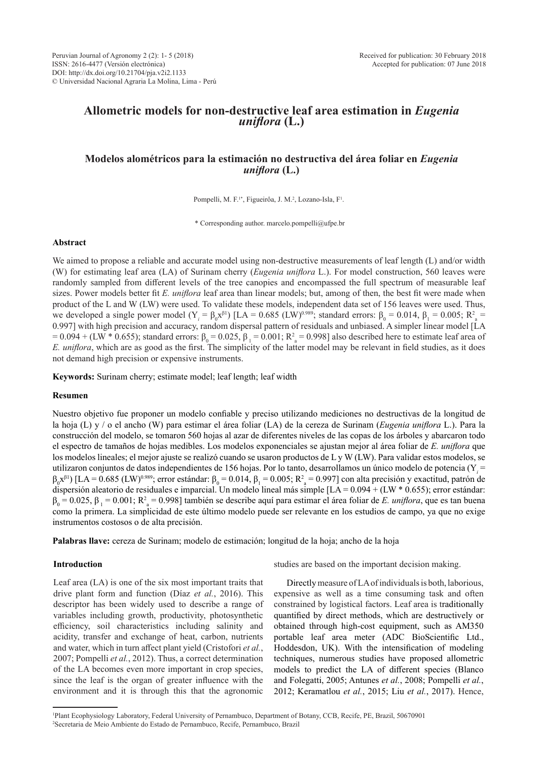# **Allometric models for non-destructive leaf area estimation in** *Eugenia uniflora* **(L.)**

## **Modelos alométricos para la estimación no destructiva del área foliar en** *Eugenia uniflora* **(L.)**

Pompelli, M. F.<sup>1\*</sup>, Figueirôa, J. M.<sup>2</sup>, Lozano-Isla, F<sup>1</sup>.

\* Corresponding author. marcelo.pompelli@ufpe.br

## **Abstract**

We aimed to propose a reliable and accurate model using non-destructive measurements of leaf length (L) and/or width (W) for estimating leaf area (LA) of Surinam cherry (*Eugenia uniflora* L.). For model construction, 560 leaves were randomly sampled from different levels of the tree canopies and encompassed the full spectrum of measurable leaf sizes. Power models better fit *E. uniflora* leaf area than linear models; but, among of then, the best fit were made when product of the L and W (LW) were used. To validate these models, independent data set of 156 leaves were used. Thus, we developed a single power model (Y<sub>i</sub> =  $\beta_0 x^{\beta_1}$ ) [LA = 0.685 (LW)<sup>0.989</sup>; standard errors:  $\beta_0 = 0.014$ ,  $\beta_1 = 0.005$ ; R<sup>2</sup><sub>a</sub> = 0.997] with high precision and accuracy, random dispersal pattern of residuals and unbiased. A simpler linear model [LA = 0.094 + (LW \* 0.655); standard errors: β<sub>0</sub> = 0.025, β<sub>1</sub> = 0.001; R<sup>2</sup><sub>a</sub> = 0.998] also described here to estimate leaf area of *E. uniflora*, which are as good as the first. The simplicity of the latter model may be relevant in field studies, as it does not demand high precision or expensive instruments.

**Keywords:** Surinam cherry; estimate model; leaf length; leaf width

## **Resumen**

Nuestro objetivo fue proponer un modelo confiable y preciso utilizando mediciones no destructivas de la longitud de la hoja (L) y / o el ancho (W) para estimar el área foliar (LA) de la cereza de Surinam (*Eugenia uniflora* L.). Para la construcción del modelo, se tomaron 560 hojas al azar de diferentes niveles de las copas de los árboles y abarcaron todo el espectro de tamaños de hojas medibles. Los modelos exponenciales se ajustan mejor al área foliar de *E. uniflora* que los modelos lineales; el mejor ajuste se realizó cuando se usaron productos de L y W (LW). Para validar estos modelos, se utilizaron conjuntos de datos independientes de 156 hojas. Por lo tanto, desarrollamos un único modelo de potencia (Y<sub>i</sub> =  $β<sub>0</sub>x<sup>β1</sup>$ ) [LA = 0.685 (LW)<sup>0.989</sup>; error estándar:  $β<sub>0</sub> = 0.014$ ,  $β<sub>1</sub> = 0.005$ ; R<sup>2</sup><sub>a</sub> = 0.997] con alta precisión y exactitud, patrón de dispersión aleatorio de residuales e imparcial. Un modelo lineal más simple [LA = 0.094 + (LW \* 0.655); error estándar:  $\beta_0 = 0.025$ ,  $\beta_1 = 0.001$ ;  $R^2$ <sub>a</sub> = 0.998] también se describe aquí para estimar el área foliar de *E. uniflora*, que es tan buena como la primera. La simplicidad de este último modelo puede ser relevante en los estudios de campo, ya que no exige instrumentos costosos o de alta precisión.

**Palabras llave:** cereza de Surinam; modelo de estimación; longitud de la hoja; ancho de la hoja

## **Introduction**

Leaf area (LA) is one of the six most important traits that drive plant form and function (Díaz *et al.*, 2016). This descriptor has been widely used to describe a range of variables including growth, productivity, photosynthetic efficiency, soil characteristics including salinity and acidity, transfer and exchange of heat, carbon, nutrients and water, which in turn affect plant yield (Cristofori *et al.*, 2007; Pompelli *et al.*, 2012). Thus, a correct determination of the LA becomes even more important in crop species, since the leaf is the organ of greater influence with the environment and it is through this that the agronomic

studies are based on the important decision making.

Directly measure of LA of individuals is both, laborious, expensive as well as a time consuming task and often constrained by logistical factors. Leaf area is traditionally quantified by direct methods, which are destructively or obtained through high-cost equipment, such as AM350 portable leaf area meter (ADC BioScientific Ltd., Hoddesdon, UK). With the intensification of modeling techniques, numerous studies have proposed allometric models to predict the LA of different species (Blanco and Folegatti, 2005; Antunes *et al.*, 2008; Pompelli *et al.*, 2012; Keramatlou *et al.*, 2015; Liu *et al.*, 2017). Hence,

<sup>1</sup> Plant Ecophysiology Laboratory, Federal University of Pernambuco, Department of Botany, CCB, Recife, PE, Brazil, 50670901 2 Secretaria de Meio Ambiente do Estado de Pernambuco, Recife, Pernambuco, Brazil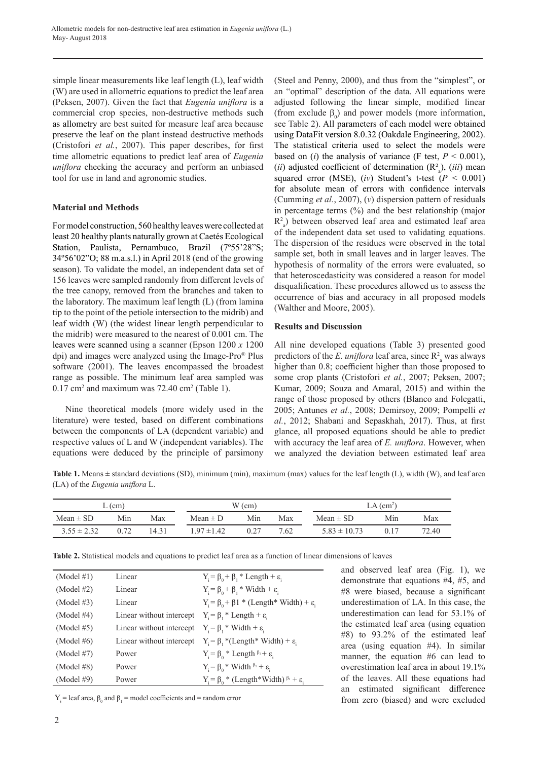simple linear measurements like leaf length (L), leaf width (W) are used in allometric equations to predict the leaf area (Peksen, 2007). Given the fact that *Eugenia uniflora* is a commercial crop species, non-destructive methods such as allometry are best suited for measure leaf area because preserve the leaf on the plant instead destructive methods (Cristofori *et al.*, 2007). This paper describes, for first time allometric equations to predict leaf area of *Eugenia uniflora* checking the accuracy and perform an unbiased tool for use in land and agronomic studies.

## **Material and Methods**

For model construction, 560 healthy leaves were collected at least 20 healthy plants naturally grown at Caetés Ecological Station, Paulista, Pernambuco, Brazil (7º55'28"S; 34º56'02"O; 88 m.a.s.l.) in April 2018 (end of the growing season). To validate the model, an independent data set of 156 leaves were sampled randomly from different levels of the tree canopy, removed from the branches and taken to the laboratory. The maximum leaf length (L) (from lamina tip to the point of the petiole intersection to the midrib) and leaf width (W) (the widest linear length perpendicular to the midrib) were measured to the nearest of 0.001 cm. The leaves were scanned using a scanner (Epson 1200 *x* 1200 dpi) and images were analyzed using the Image-Pro® Plus software (2001). The leaves encompassed the broadest range as possible. The minimum leaf area sampled was  $0.17$  cm<sup>2</sup> and maximum was  $72.40$  cm<sup>2</sup> (Table 1).

Nine theoretical models (more widely used in the literature) were tested, based on different combinations between the components of LA (dependent variable) and respective values of L and W (independent variables). The equations were deduced by the principle of parsimony (Steel and Penny, 2000), and thus from the "simplest", or an "optimal" description of the data. All equations were adjusted following the linear simple, modified linear (from exclude  $\beta_0$ ) and power models (more information, see Table 2). All parameters of each model were obtained using DataFit version 8.0.32 (Oakdale Engineering, 2002). The statistical criteria used to select the models were based on (*i*) the analysis of variance (F test,  $P < 0.001$ ),  $(ii)$  adjusted coefficient of determination  $(R^2_{a})$ ,  $(iii)$  mean squared error (MSE),  $(iv)$  Student's t-test  $(P < 0.001)$ for absolute mean of errors with confidence intervals (Cumming *et al.*, 2007), (*v*) dispersion pattern of residuals in percentage terms  $(\%)$  and the best relationship (major  $R_a^2$ ) between observed leaf area and estimated leaf area of the independent data set used to validating equations. The dispersion of the residues were observed in the total sample set, both in small leaves and in larger leaves. The hypothesis of normality of the errors were evaluated, so that heteroscedasticity was considered a reason for model disqualification. These procedures allowed us to assess the occurrence of bias and accuracy in all proposed models (Walther and Moore, 2005).

## **Results and Discussion**

All nine developed equations (Table 3) presented good predictors of the *E*. *uniflora* leaf area, since  $R^2$  was always higher than 0.8; coefficient higher than those proposed to some crop plants (Cristofori *et al.*, 2007; Peksen, 2007; Kumar, 2009; Souza and Amaral, 2015) and within the range of those proposed by others (Blanco and Folegatti, 2005; Antunes *et al.*, 2008; Demirsoy, 2009; Pompelli *et al.*, 2012; Shabani and Sepaskhah, 2017). Thus, at first glance, all proposed equations should be able to predict with accuracy the leaf area of *E. uniflora*. However, when we analyzed the deviation between estimated leaf area

**Table 1.** Means ± standard deviations (SD), minimum (min), maximum (max) values for the leaf length (L), width (W), and leaf area (LA) of the *Eugenia uniflora* L.

| $\mathcal{L}$ (cm) |      |       | $W$ (cm)       |     |      | LA (cm <sup>2</sup> ) |      |       |
|--------------------|------|-------|----------------|-----|------|-----------------------|------|-------|
| Mean $\pm$ SD      | Min  | Max   | Mean $\pm$ D   | Min | Max  | Mean $\pm$ SD         | Min  | Max   |
| $3.55 \pm 2.32$    | 0.72 | 14 31 | $.97 \pm 1.42$ |     | 7.62 | $5.83 \pm 10.73$      | 0.17 | 72.40 |

| (Model #1) | Linear                                                                  | $Y_i = \beta_0 + \beta_1 * Length + \varepsilon_i$                          |
|------------|-------------------------------------------------------------------------|-----------------------------------------------------------------------------|
| (Model #2) | Linear                                                                  | $Y_i = \beta_0 + \beta_1 *$ Width + $\varepsilon_i$                         |
| (Model #3) | Linear                                                                  | $Y_i = \beta_0 + \beta 1$ * (Length * Width) + $\varepsilon_i$              |
| (Model #4) | Linear without intercept $Y = \beta_1 * Length + \varepsilon_2$         |                                                                             |
| (Model #5) | Linear without intercept $Y_i = \beta_i * \text{Width} + \varepsilon_i$ |                                                                             |
| (Model #6) |                                                                         | Linear without intercept $Y_i = \beta_1 * (Length^* Width) + \varepsilon_i$ |
| (Model #7) | Power                                                                   | $Y_i = \beta_0 * Length \beta_1 + \varepsilon_i$                            |
| (Model #8) | Power                                                                   | $Y_i = \beta_0^*$ Width $\beta_1 + \varepsilon_1$                           |
| (Model #9) | Power                                                                   | $Y_i = \beta_0 * (Length*Width)^{\beta_1} + \varepsilon_i$                  |

 $Y_i$  = leaf area,  $\beta_0$  and  $\beta_1$  = model coefficients and = random error

and observed leaf area (Fig. 1), we demonstrate that equations #4, #5, and #8 were biased, because a significant underestimation of LA. In this case, the underestimation can lead for 53.1% of the estimated leaf area (using equation #8) to 93.2% of the estimated leaf area (using equation #4). In similar manner, the equation #6 can lead to overestimation leaf area in about 19.1% of the leaves. All these equations had an estimated significant difference from zero (biased) and were excluded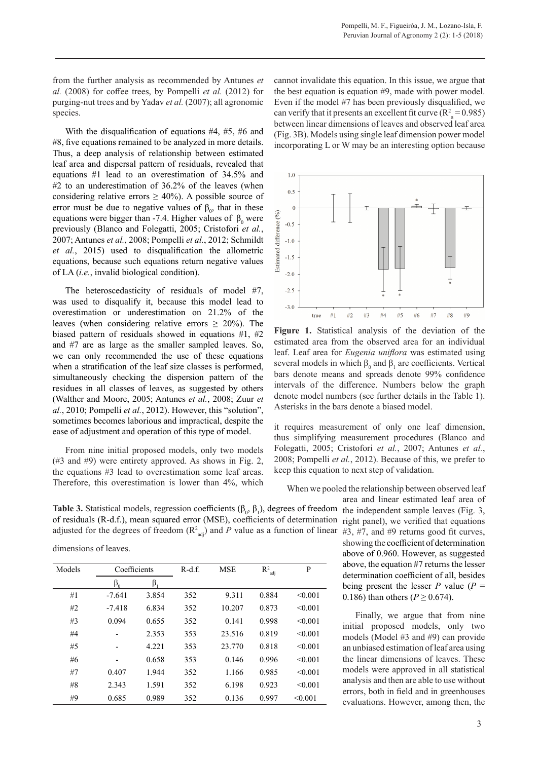from the further analysis as recommended by Antunes *et al.* (2008) for coffee trees, by Pompelli *et al.* (2012) for purging-nut trees and by Yadav *et al.* (2007); all agronomic species.

With the disqualification of equations #4, #5, #6 and #8, five equations remained to be analyzed in more details. Thus, a deep analysis of relationship between estimated leaf area and dispersal pattern of residuals, revealed that equations #1 lead to an overestimation of 34.5% and #2 to an underestimation of 36.2% of the leaves (when considering relative errors  $\geq 40\%$ ). A possible source of error must be due to negative values of  $\beta_0$ , that in these equations were bigger than -7.4. Higher values of  $\beta_0$  were previously (Blanco and Folegatti, 2005; Cristofori *et al.*, 2007; Antunes *et al.*, 2008; Pompelli *et al.*, 2012; Schmildt *et al.*, 2015) used to disqualification the allometric equations, because such equations return negative values of LA (*i.e.*, invalid biological condition).

The heteroscedasticity of residuals of model #7, was used to disqualify it, because this model lead to overestimation or underestimation on 21.2% of the leaves (when considering relative errors  $\geq$  20%). The biased pattern of residuals showed in equations #1, #2 and #7 are as large as the smaller sampled leaves. So, we can only recommended the use of these equations when a stratification of the leaf size classes is performed, simultaneously checking the dispersion pattern of the residues in all classes of leaves, as suggested by others (Walther and Moore, 2005; Antunes *et al.*, 2008; Zuur *et al.*, 2010; Pompelli *et al.*, 2012). However, this "solution", sometimes becomes laborious and impractical, despite the ease of adjustment and operation of this type of model.

From nine initial proposed models, only two models (#3 and #9) were entirety approved. As shows in Fig. 2, the equations #3 lead to overestimation some leaf areas. Therefore, this overestimation is lower than 4%, which

cannot invalidate this equation. In this issue, we argue that the best equation is equation #9, made with power model. Even if the model #7 has been previously disqualified, we can verify that it presents an excellent fit curve ( $R_a^2 = 0.985$ ) between linear dimensions of leaves and observed leaf area (Fig. 3B). Models using single leaf dimension power model incorporating L or W may be an interesting option because



**Figure 1.** Statistical analysis of the deviation of the estimated area from the observed area for an individual leaf. Leaf area for *Eugenia uniflora* was estimated using several models in which  $\beta_0$  and  $\beta_1$  are coefficients. Vertical bars denote means and spreads denote 99% confidence intervals of the difference. Numbers below the graph denote model numbers (see further details in the Table 1). Asterisks in the bars denote a biased model.

it requires measurement of only one leaf dimension, thus simplifying measurement procedures (Blanco and Folegatti, 2005; Cristofori *et al.*, 2007; Antunes *et al.*, 2008; Pompelli *et al.*, 2012). Because of this, we prefer to keep this equation to next step of validation.

When we pooled the relationship between observed leaf

**Table 3.** Statistical models, regression coefficients  $(\beta_0, \beta_1)$ , degrees of freedom the independent sample leaves (Fig. 3, of residuals (R-d.f.), mean squared error (MSE), coefficients of determination right panel), we verified that equations adjusted for the degrees of freedom  $(R^2_{adj})$  and *P* value as a function of linear #3, #7, and #9 returns good fit curves,

dimensions of leaves.

| Models | Coefficients   |           | $R-d.f.$ | <b>MSE</b> | $\mathbb{R}^2$<br>adj | P       |
|--------|----------------|-----------|----------|------------|-----------------------|---------|
|        | $\beta_0$      | $\beta_1$ |          |            |                       |         |
| #1     | $-7.641$       | 3.854     | 352      | 9.311      | 0.884                 | < 0.001 |
| #2     | $-7.418$       | 6.834     | 352      | 10.207     | 0.873                 | < 0.001 |
| #3     | 0.094          | 0.655     | 352      | 0.141      | 0.998                 | < 0.001 |
| #4     |                | 2.353     | 353      | 23.516     | 0.819                 | < 0.001 |
| #5     | $\overline{a}$ | 4.221     | 353      | 23.770     | 0.818                 | < 0.001 |
| #6     |                | 0.658     | 353      | 0.146      | 0.996                 | < 0.001 |
| #7     | 0.407          | 1.944     | 352      | 1.166      | 0.985                 | < 0.001 |
| #8     | 2.343          | 1.591     | 352      | 6.198      | 0.923                 | < 0.001 |
| #9     | 0.685          | 0.989     | 352      | 0.136      | 0.997                 | < 0.001 |

area and linear estimated leaf area of showing the coefficient of determination above of 0.960. However, as suggested above, the equation #7 returns the lesser determination coefficient of all, besides being present the lesser *P* value ( $P =$ 0.186) than others ( $P \ge 0.674$ ).

Finally, we argue that from nine initial proposed models, only two models (Model #3 and #9) can provide an unbiased estimation of leaf area using the linear dimensions of leaves. These models were approved in all statistical analysis and then are able to use without errors, both in field and in greenhouses evaluations. However, among then, the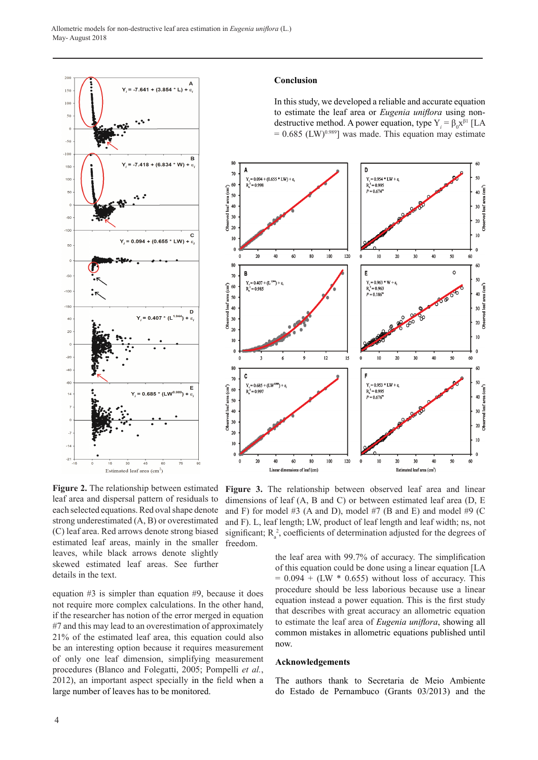

#### **Conclusion**

In this study, we developed a reliable and accurate equation to estimate the leaf area or *Eugenia uniflora* using nondestructive method. A power equation, type  $Y_i = \beta_0 x^{\beta 1}$  [LA  $= 0.685$  (LW)<sup>0.989</sup>] was made. This equation may estimate



**Figure 2.** The relationship between estimated leaf area and dispersal pattern of residuals to each selected equations. Red oval shape denote strong underestimated (A, B) or overestimated (C) leaf area. Red arrows denote strong biased estimated leaf areas, mainly in the smaller leaves, while black arrows denote slightly skewed estimated leaf areas. See further details in the text.

equation #3 is simpler than equation #9, because it does not require more complex calculations. In the other hand, if the researcher has notion of the error merged in equation #7 and this may lead to an overestimation of approximately 21% of the estimated leaf area, this equation could also be an interesting option because it requires measurement of only one leaf dimension, simplifying measurement procedures (Blanco and Folegatti, 2005; Pompelli *et al.*, 2012), an important aspect specially in the field when a large number of leaves has to be monitored.

**Figure 3.** The relationship between observed leaf area and linear dimensions of leaf (A, B and C) or between estimated leaf area (D, E and F) for model  $#3$  (A and D), model  $#7$  (B and E) and model  $#9$  (C and F). L, leaf length; LW, product of leaf length and leaf width; ns, not significant;  $R_a^2$ , coefficients of determination adjusted for the degrees of freedom.

the leaf area with 99.7% of accuracy. The simplification of this equation could be done using a linear equation [LA  $= 0.094 + (LW * 0.655)$  without loss of accuracy. This procedure should be less laborious because use a linear equation instead a power equation. This is the first study that describes with great accuracy an allometric equation to estimate the leaf area of *Eugenia uniflora*, showing all common mistakes in allometric equations published until now.

#### **Acknowledgements**

The authors thank to Secretaria de Meio Ambiente do Estado de Pernambuco (Grants 03/2013) and the